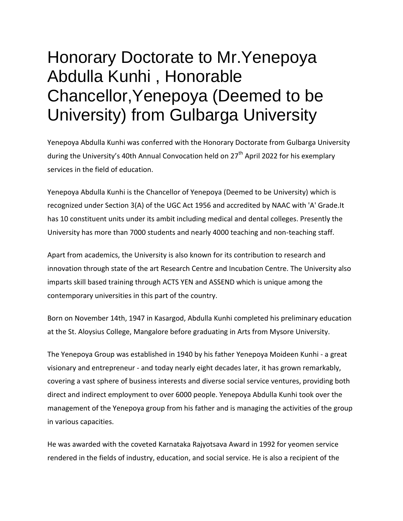## Honorary Doctorate to Mr.Yenepoya Abdulla Kunhi , Honorable Chancellor,Yenepoya (Deemed to be University) from Gulbarga University

Yenepoya Abdulla Kunhi was conferred with the Honorary Doctorate from Gulbarga University during the University's 40th Annual Convocation held on  $27<sup>th</sup>$  April 2022 for his exemplary services in the field of education.

Yenepoya Abdulla Kunhi is the Chancellor of Yenepoya (Deemed to be University) which is recognized under Section 3(A) of the UGC Act 1956 and accredited by NAAC with 'A' Grade.It has 10 constituent units under its ambit including medical and dental colleges. Presently the University has more than 7000 students and nearly 4000 teaching and non-teaching staff.

Apart from academics, the University is also known for its contribution to research and innovation through state of the art Research Centre and Incubation Centre. The University also imparts skill based training through ACTS YEN and ASSEND which is unique among the contemporary universities in this part of the country.

Born on November 14th, 1947 in Kasargod, Abdulla Kunhi completed his preliminary education at the St. Aloysius College, Mangalore before graduating in Arts from Mysore University.

The Yenepoya Group was established in 1940 by his father Yenepoya Moideen Kunhi - a great visionary and entrepreneur - and today nearly eight decades later, it has grown remarkably, covering a vast sphere of business interests and diverse social service ventures, providing both direct and indirect employment to over 6000 people. Yenepoya Abdulla Kunhi took over the management of the Yenepoya group from his father and is managing the activities of the group in various capacities.

He was awarded with the coveted Karnataka Rajyotsava Award in 1992 for yeomen service rendered in the fields of industry, education, and social service. He is also a recipient of the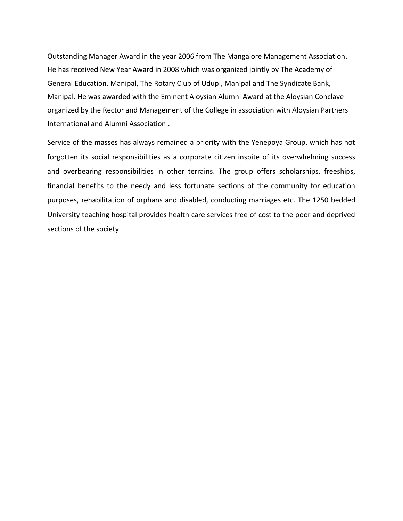Outstanding Manager Award in the year 2006 from The Mangalore Management Association. He has received New Year Award in 2008 which was organized jointly by The Academy of General Education, Manipal, The Rotary Club of Udupi, Manipal and The Syndicate Bank, Manipal. He was awarded with the Eminent Aloysian Alumni Award at the Aloysian Conclave organized by the Rector and Management of the College in association with Aloysian Partners International and Alumni Association .

Service of the masses has always remained a priority with the Yenepoya Group, which has not forgotten its social responsibilities as a corporate citizen inspite of its overwhelming success and overbearing responsibilities in other terrains. The group offers scholarships, freeships, financial benefits to the needy and less fortunate sections of the community for education purposes, rehabilitation of orphans and disabled, conducting marriages etc. The 1250 bedded University teaching hospital provides health care services free of cost to the poor and deprived sections of the society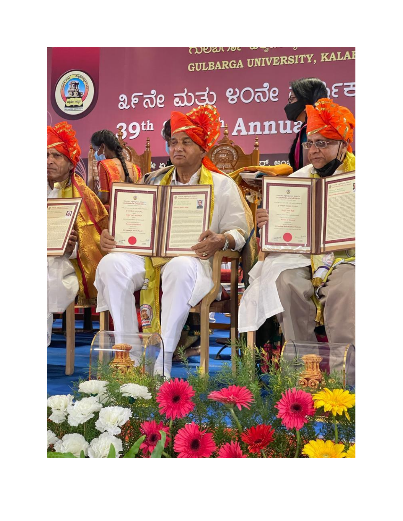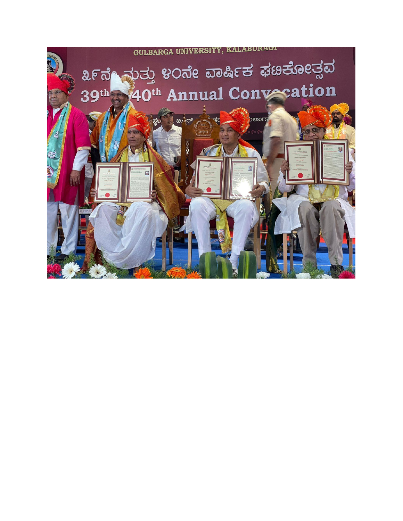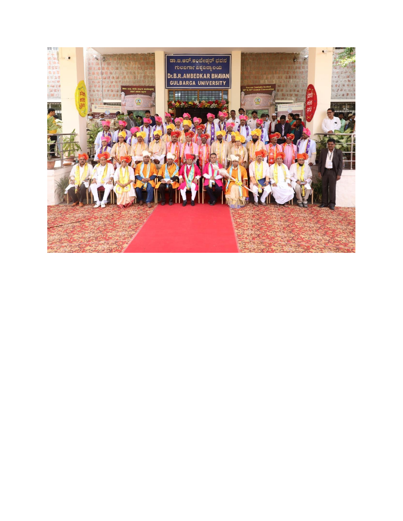